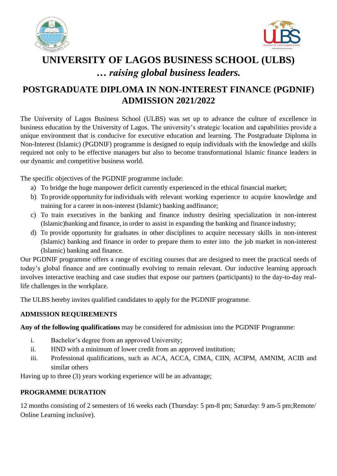



# **UNIVERSITY OF LAGOS BUSINESS SCHOOL (ULBS)** *… raising global business leaders.*

# **POSTGRADUATE DIPLOMA IN NON-INTEREST FINANCE (PGDNIF) ADMISSION 2021/2022**

The University of Lagos Business School (ULBS) was set up to advance the culture of excellence in business education by the University of Lagos. The university's strategic location and capabilities provide a unique environment that is conducive for executive education and learning. The Postgraduate Diploma in Non-Interest (Islamic) (PGDNIF) programme is designed to equip individuals with the knowledge and skills required not only to be effective managers but also to become transformational Islamic finance leaders in our dynamic and competitive business world.

The specific objectives of the PGDNIF programme include:

- a) To bridge the huge manpower deficit currently experienced in the ethical financial market;
- b) To provide opportunity for individuals with relevant working experience to acquire knowledge and training for a career in non-interest (Islamic) banking and finance;
- c) To train executives in the banking and finance industry desiring specialization in non-interest (Islamic)banking and finance, in order to assist in expanding the banking and finance industry;
- d) To provide opportunity for graduates in other disciplines to acquire necessary skills in non-interest (Islamic) banking and finance in order to prepare them to enter into the job market in non-interest (Islamic) banking and finance.

Our PGDNIF programme offers a range of exciting courses that are designed to meet the practical needs of today's global finance and are continually evolving to remain relevant. Our inductive learning approach involves interactive teaching and case studies that expose our partners (participants) to the day-to-day reallife challenges in the workplace.

The ULBS hereby invites qualified candidates to apply for the PGDNIF programme.

# **ADMISSION REQUIREMENTS**

**Any of the following qualifications** may be considered for admission into the PGDNIF Programme:

- i. Bachelor's degree from an approved University;
- ii. HND with a minimum of lower credit from an approved institution;
- iii. Professional qualifications, such as ACA, ACCA, CIMA, CIIN, ACIPM, AMNIM, ACIB and similar others

Having up to three (3) years working experience will be an advantage;

# **PROGRAMME DURATION**

12 months consisting of 2 semesters of 16 weeks each (Thursday: 5 pm-8 pm; Saturday: 9 am-5 pm;Remote/ Online Learning inclusive).